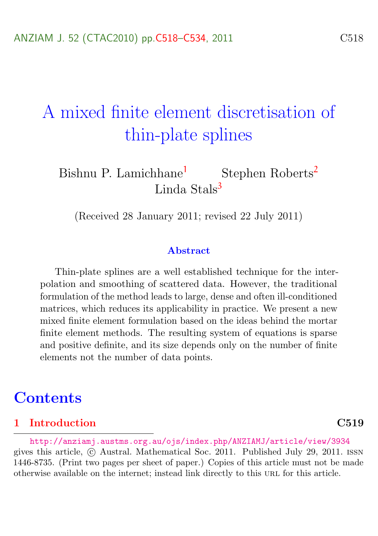# <span id="page-0-0"></span>A mixed finite element discretisation of thin-plate splines

Bishnu P. Lamichhane<sup>[1](#page-16-1)</sup> Stephen Roberts<sup>[2](#page-16-2)</sup> Linda Stals<sup>[3](#page-16-0)</sup>

(Received 28 January 2011; revised 22 July 2011)

#### Abstract

Thin-plate splines are a well established technique for the interpolation and smoothing of scattered data. However, the traditional formulation of the method leads to large, dense and often ill-conditioned matrices, which reduces its applicability in practice. We present a new mixed finite element formulation based on the ideas behind the mortar finite element methods. The resulting system of equations is sparse and positive definite, and its size depends only on the number of finite elements not the number of data points.

### **Contents**

#### [1 Introduction](#page-1-0) C519

<http://anziamj.austms.org.au/ojs/index.php/ANZIAMJ/article/view/3934> gives this article, c Austral. Mathematical Soc. 2011. Published July 29, 2011. issn 1446-8735. (Print two pages per sheet of paper.) Copies of this article must not be made otherwise available on the internet; instead link directly to this url for this article.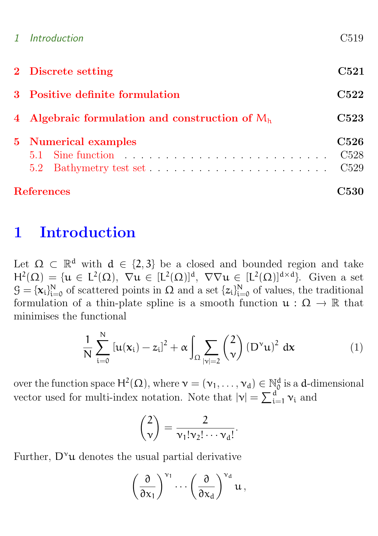| <b>References</b>                                |                                      |  |  |  |
|--------------------------------------------------|--------------------------------------|--|--|--|
| 5.2                                              | C <sub>528</sub><br>C <sub>529</sub> |  |  |  |
| <b>5</b> Numerical examples                      | <b>C526</b>                          |  |  |  |
| 4 Algebraic formulation and construction of $Mh$ |                                      |  |  |  |
| 3 Positive definite formulation                  |                                      |  |  |  |
| 2 Discrete setting                               | C521                                 |  |  |  |
| 1 Introduction                                   | C519                                 |  |  |  |

### <span id="page-1-0"></span>1 Introduction

Let  $\Omega \subset \mathbb{R}^d$  with  $d \in \{2,3\}$  be a closed and bounded region and take  $H^2(\Omega) = \{ u \in L^2(\Omega), \nabla u \in [L^2(\Omega)]^d, \nabla \nabla u \in [L^2(\Omega)]^{d \times d} \}.$  Given a set  $\mathcal{G} = {\mathbf{x}_i}_{i=0}^N$  of scattered points in  $\Omega$  and a set  ${z_i}_{i=0}^N$  of values, the traditional formulation of a thin-plate spline is a smooth function  $\mathfrak{u} : \Omega \to \mathbb{R}$  that minimises the functional

<span id="page-1-1"></span>
$$
\frac{1}{N} \sum_{i=0}^{N} \left[ u(x_i) - z_i \right]^2 + \alpha \int_{\Omega} \sum_{|\nu|=2} {2 \choose \nu} \left( D^{\nu} u \right)^2 dx \tag{1}
$$

over the function space  $H^2(\Omega)$ , where  $\mathbf{v} = (\mathbf{v}_1, \dots, \mathbf{v}_d) \in \mathbb{N}_0^d$  is a d-dimensional vector used for multi-index notation. Note that  $|\mathbf{v}| = \sum_{i=1}^{d} \mathbf{v}_i$  and

$$
\binom{2}{\nu} = \frac{2}{\nu_1! \nu_2! \cdots \nu_d!}.
$$

Further,  $D^{\nu}u$  denotes the usual partial derivative

$$
\left(\frac{\partial}{\partial x_1}\right)^{\nu_1}\cdots\left(\frac{\partial}{\partial x_d}\right)^{\nu_d}u\,,
$$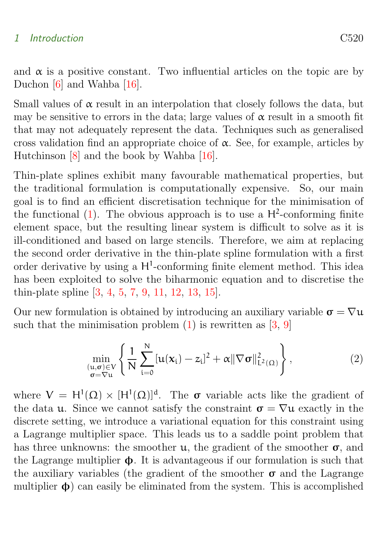#### <span id="page-2-0"></span>1 Introduction C520

and  $\alpha$  is a positive constant. Two influential articles on the topic are by Duchon [\[6\]](#page-13-0) and Wahba [\[16\]](#page-16-3).

Small values of  $\alpha$  result in an interpolation that closely follows the data, but may be sensitive to errors in the data; large values of  $\alpha$  result in a smooth fit that may not adequately represent the data. Techniques such as generalised cross validation find an appropriate choice of  $\alpha$ . See, for example, articles by Hutchinson [\[8\]](#page-14-0) and the book by Wahba [\[16\]](#page-16-3).

Thin-plate splines exhibit many favourable mathematical properties, but the traditional formulation is computationally expensive. So, our main goal is to find an efficient discretisation technique for the minimisation of the functional  $(1)$ . The obvious approach is to use a  $H^2$ -conforming finite element space, but the resulting linear system is difficult to solve as it is ill-conditioned and based on large stencils. Therefore, we aim at replacing the second order derivative in the thin-plate spline formulation with a first order derivative by using a  $H^1$ -conforming finite element method. This idea has been exploited to solve the biharmonic equation and to discretise the thin-plate spline [\[3,](#page-12-1) [4,](#page-13-1) [5,](#page-13-2) [7,](#page-14-1) [9,](#page-15-0) [11,](#page-15-1) [12,](#page-15-2) [13,](#page-15-3) [15\]](#page-15-4).

Our new formulation is obtained by introducing an auxiliary variable  $\sigma = \nabla u$ such that the minimisation problem  $(1)$  is rewritten as  $[3, 9]$  $[3, 9]$  $[3, 9]$ 

$$
\min_{\substack{(u,\sigma)\in V\\ \sigma=\nabla u}}\left\{\frac{1}{N}\sum_{i=0}^{N}\left[u(x_{i})-z_{i}\right]^{2}+\alpha\|\nabla\sigma\|_{L^{2}(\Omega)}^{2}\right\},\qquad(2)
$$

where  $V = H^{1}(\Omega) \times [H^{1}(\Omega)]^{d}$ . The  $\sigma$  variable acts like the gradient of the data **u**. Since we cannot satisfy the constraint  $\sigma = \nabla u$  exactly in the discrete setting, we introduce a variational equation for this constraint using a Lagrange multiplier space. This leads us to a saddle point problem that has three unknowns: the smoother  $\mu$ , the gradient of the smoother  $\sigma$ , and the Lagrange multiplier  $\Phi$ . It is advantageous if our formulation is such that the auxiliary variables (the gradient of the smoother  $\sigma$  and the Lagrange multiplier  $\phi$ ) can easily be eliminated from the system. This is accomplished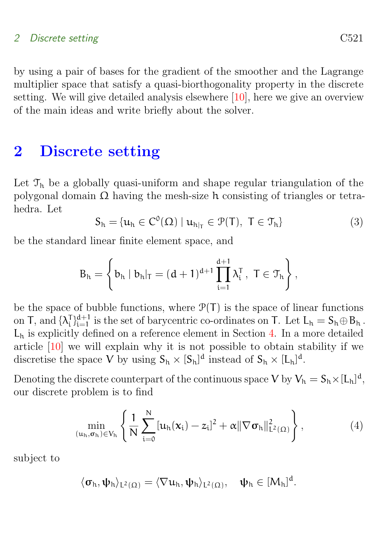#### <span id="page-3-2"></span>2 Discrete setting C521

by using a pair of bases for the gradient of the smoother and the Lagrange multiplier space that satisfy a quasi-biorthogonality property in the discrete setting. We will give detailed analysis elsewhere [\[10\]](#page-15-5), here we give an overview of the main ideas and write briefly about the solver.

### <span id="page-3-0"></span>2 Discrete setting

Let  $\mathcal{T}_h$  be a globally quasi-uniform and shape regular triangulation of the polygonal domain  $\Omega$  having the mesh-size h consisting of triangles or tetrahedra. Let

$$
S_h = \{u_h \in C^0(\Omega) \mid u_{h|_T} \in \mathcal{P}(T), \ T \in \mathcal{T}_h\}
$$
 (3)

be the standard linear finite element space, and

$$
B_h = \left\{ b_h \mid b_h|_T = (d+1)^{d+1} \prod_{i=1}^{d+1} \lambda_i^T \,, \ T \in \mathcal{T}_h \right\},
$$

be the space of bubble functions, where  $\mathcal{P}(T)$  is the space of linear functions on T, and  $\{\lambda_i^{\mathsf{T}}\}_{i=1}^{d+1}$  $_{i=1}^{d+1}$  is the set of barycentric co-ordinates on T. Let  $L_h = S_h \oplus B_h$ .  $L<sub>h</sub>$  is explicitly defined on a reference element in Section [4.](#page-5-0) In a more detailed article [\[10\]](#page-15-5) we will explain why it is not possible to obtain stability if we discretise the space V by using  $S_h \times [S_h]^d$  instead of  $S_h \times [L_h]^d$ .

Denoting the discrete counterpart of the continuous space V by  $V_h = S_h \times [L_h]^d$ , our discrete problem is to find

<span id="page-3-1"></span>
$$
\min_{(u_h, \sigma_h) \in V_h} \left\{ \frac{1}{N} \sum_{i=0}^N [u_h(x_i) - z_i]^2 + \alpha ||\nabla \sigma_h||^2_{L^2(\Omega)} \right\},
$$
\n(4)

subject to

$$
\langle \sigma_h, \psi_h \rangle_{L^2(\Omega)} = \langle \nabla u_h, \psi_h \rangle_{L^2(\Omega)}, \quad \psi_h \in [M_h]^d.
$$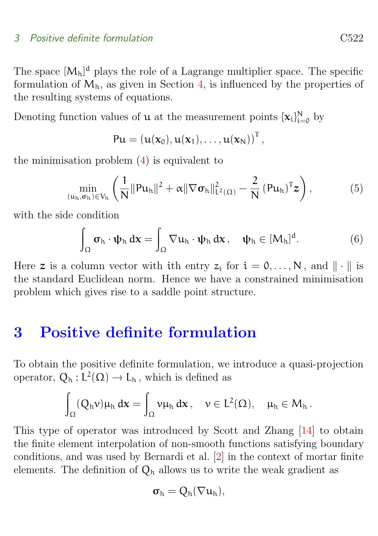#### <span id="page-4-2"></span>3 Positive definite formulation C522

The space  $[M_h]^d$  plays the role of a Lagrange multiplier space. The specific formulation of  $M_h$ , as given in Section [4,](#page-5-0) is influenced by the properties of the resulting systems of equations.

Denoting function values of **u** at the measurement points  $\{x_i\}_{i=0}^N$  by

$$
Pu = (u(\mathbf{x}_0), u(\mathbf{x}_1), \ldots, u(\mathbf{x}_N))^T,
$$

the minimisation problem  $(4)$  is equivalent to

$$
\min_{(u_h, \sigma_h) \in V_h} \left( \frac{1}{N} \|Pu_h\|^2 + \alpha \|\nabla \sigma_h\|_{L^2(\Omega)}^2 - \frac{2}{N} (Pu_h)^T z \right), \tag{5}
$$

with the side condition

<span id="page-4-1"></span>
$$
\int_{\Omega} \sigma_h \cdot \psi_h \, dx = \int_{\Omega} \nabla u_h \cdot \psi_h \, dx, \quad \psi_h \in [M_h]^d. \tag{6}
$$

Here z is a column vector with ith entry  $z_i$  for  $i = 0, ..., N$ , and  $\|\cdot\|$  is the standard Euclidean norm. Hence we have a constrained minimisation problem which gives rise to a saddle point structure.

### <span id="page-4-0"></span>3 Positive definite formulation

To obtain the positive definite formulation, we introduce a quasi-projection operator,  $Q_h: L^2(\Omega) \to L_h$ , which is defined as

$$
\int_\Omega (Q_h \nu) \mu_h \, d\mathbf x = \int_\Omega \nu \mu_h \, d\mathbf x\,, \quad \nu \in L^2(\Omega), \quad \mu_h \in M_h\,.
$$

This type of operator was introduced by Scott and Zhang [\[14\]](#page-15-6) to obtain the finite element interpolation of non-smooth functions satisfying boundary conditions, and was used by Bernardi et al. [\[2\]](#page-12-2) in the context of mortar finite elements. The definition of  $Q_h$  allows us to write the weak gradient as

$$
\sigma_{\text{h}}=Q_{\text{h}}(\nabla u_{\text{h}}),
$$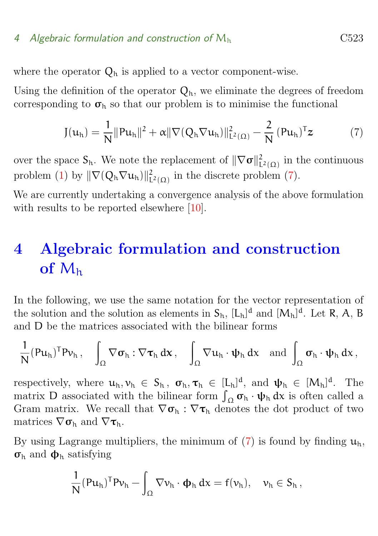#### <span id="page-5-2"></span>4 Algebraic formulation and construction of  $M<sub>h</sub>$  C523

where the operator  $Q_h$  is applied to a vector component-wise.

Using the definition of the operator  $Q_h$ , we eliminate the degrees of freedom corresponding to  $\sigma_h$  so that our problem is to minimise the functional

<span id="page-5-1"></span>
$$
J(u_h) = \frac{1}{N} ||Pu_h||^2 + \alpha ||\nabla (Q_h \nabla u_h)||_{L^2(\Omega)}^2 - \frac{2}{N} (Pu_h)^T z
$$
 (7)

over the space  $S_h$ . We note the replacement of  $\|\nabla \sigma\|_{L}^2$  $\frac{2}{L^2(\Omega)}$  in the continuous problem [\(1\)](#page-1-1) by  $\|\nabla (Q_h\nabla u_h)\|^2_V$  $\frac{2}{L^2(\Omega)}$  in the discrete problem [\(7\)](#page-5-1).

We are currently undertaking a convergence analysis of the above formulation with results to be reported elsewhere [\[10\]](#page-15-5).

## <span id="page-5-0"></span>4 Algebraic formulation and construction of  $M<sub>h</sub>$

In the following, we use the same notation for the vector representation of the solution and the solution as elements in  $S_h$ ,  $[L_h]^d$  and  $[M_h]^d$ . Let R, A, B and D be the matrices associated with the bilinear forms

$$
\frac{1}{N} (P u_h)^T P v_h\,,\quad \int_\Omega \nabla \sigma_h : \nabla \tau_h \, dx\,,\quad \int_\Omega \nabla u_h \cdot \psi_h \, dx \quad \text{and} \ \int_\Omega \sigma_h \cdot \psi_h \, dx\,,
$$

respectively, where  $u_h, v_h \in S_h$ ,  $\sigma_h, \tau_h \in [L_h]^d$ , and  $\psi_h \in [M_h]^d$ . The matrix D associated with the bilinear form  $\int_{\Omega} \sigma_h \cdot \psi_h dx$  is often called a Gram matrix. We recall that  $\nabla \sigma_h : \nabla \tau_h$  denotes the dot product of two matrices  $\nabla \sigma_h$  and  $\nabla \tau_h$ .

By using Lagrange multipliers, the minimum of [\(7\)](#page-5-1) is found by finding  $u_h$ ,  $\sigma_h$  and  $\phi_h$  satisfying

$$
\frac{1}{N}(Pu_h)^T P v_h - \int_{\Omega} \nabla v_h \cdot \varphi_h \, dx = f(v_h), \quad v_h \in S_h,
$$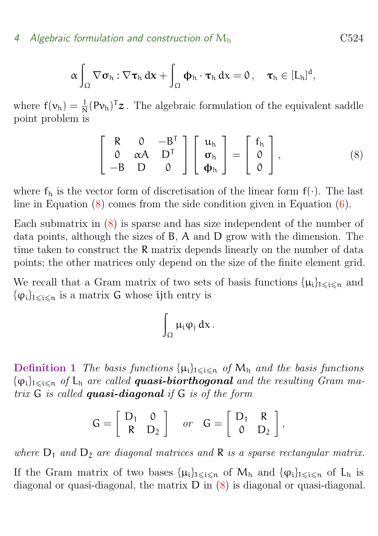#### 4 Algebraic formulation and construction of  $M<sub>h</sub>$  C524

$$
\alpha \int_{\Omega} \nabla \sigma_h : \nabla \tau_h \, dx + \int_{\Omega} \Phi_h \cdot \tau_h \, dx = 0 \,, \quad \tau_h \in [L_h]^d,
$$

where  $f(v_h) = \frac{1}{N} (Pv_h)^T z$ . The algebraic formulation of the equivalent saddle point problem is

<span id="page-6-0"></span>
$$
\begin{bmatrix} R & 0 & -B^{T} \\ 0 & \alpha A & D^{T} \\ -B & D & 0 \end{bmatrix} \begin{bmatrix} u_{h} \\ \sigma_{h} \\ \Phi_{h} \end{bmatrix} = \begin{bmatrix} f_{h} \\ 0 \\ 0 \end{bmatrix}, \qquad (8)
$$

where  $f_h$  is the vector form of discretisation of the linear form  $f(\cdot)$ . The last line in Equation  $(8)$  comes from the side condition given in Equation  $(6)$ .

Each submatrix in [\(8\)](#page-6-0) is sparse and has size independent of the number of data points, although the sizes of B, A and D grow with the dimension. The time taken to construct the R matrix depends linearly on the number of data points; the other matrices only depend on the size of the finite element grid.

We recall that a Gram matrix of two sets of basis functions  $\{\mu_i\}_{1\leqslant i\leqslant n}$  and  $\{\varphi_i\}_{1\leqslant i\leqslant n}$  is a matrix G whose ijth entry is

$$
\int_\Omega \mu_i \phi_j \, dx \, .
$$

<span id="page-6-1"></span>**Definition 1** The basis functions  $\{\mu_i\}_{1\leq i\leq n}$  of  $M_h$  and the basis functions  $\{\varphi_i\}_{1\leqslant i\leqslant n}$  of  $L_h$  are called **quasi-biorthogonal** and the resulting Gram matrix  $G$  is called **quasi-diagonal** if  $G$  is of the form

$$
G = \left[ \begin{array}{cc} D_1 & 0 \\ R & D_2 \end{array} \right] \quad or \quad G = \left[ \begin{array}{cc} D_1 & R \\ 0 & D_2 \end{array} \right],
$$

where  $D_1$  and  $D_2$  are diagonal matrices and R is a sparse rectangular matrix.

If the Gram matrix of two bases  $\{\mu_i\}_{1\leqslant i\leqslant n}$  of  $M_h$  and  $\{\varphi_i\}_{1\leqslant i\leqslant n}$  of  $L_h$  is diagonal or quasi-diagonal, the matrix D in [\(8\)](#page-6-0) is diagonal or quasi-diagonal.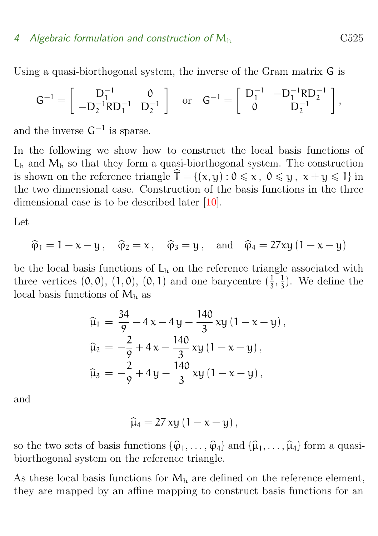#### <span id="page-7-0"></span>4 Algebraic formulation and construction of  $M<sub>h</sub>$   $C525$

Using a quasi-biorthogonal system, the inverse of the Gram matrix G is

$$
G^{-1} = \begin{bmatrix} D_1^{-1} & 0 \\ -D_2^{-1} R D_1^{-1} & D_2^{-1} \end{bmatrix} \text{ or } G^{-1} = \begin{bmatrix} D_1^{-1} & -D_1^{-1} R D_2^{-1} \\ 0 & D_2^{-1} \end{bmatrix},
$$

and the inverse  $G^{-1}$  is sparse.

In the following we show how to construct the local basis functions of  $L<sub>h</sub>$  and  $M<sub>h</sub>$  so that they form a quasi-biorthogonal system. The construction is shown on the reference triangle  $\hat{\mathsf{T}} = \{(\mathsf{x}, \mathsf{y}) : 0 \leq \mathsf{x}, 0 \leq \mathsf{y}, \mathsf{x} + \mathsf{y} \leq 1\}$  in the two dimensional case. Construction of the basis functions in the three dimensional case is to be described later [\[10\]](#page-15-5).

Let

$$
\hat{\varphi}_1 = 1 - x - y
$$
,  $\hat{\varphi}_2 = x$ ,  $\hat{\varphi}_3 = y$ , and  $\hat{\varphi}_4 = 27xy(1 - x - y)$ 

be the local basis functions of  $L_h$  on the reference triangle associated with three vertices  $(0,0), (1,0), (0,1)$  and one barycentre  $(\frac{1}{3})$  $\frac{1}{3}, \frac{1}{3}$  $\frac{1}{3}$ ). We define the local basis functions of  $M_h$  as

$$
\begin{aligned} \widehat{\mu}_1 &= \frac{34}{9} - 4x - 4y - \frac{140}{3}xy \left(1 - x - y\right), \\ \widehat{\mu}_2 &= -\frac{2}{9} + 4x - \frac{140}{3}xy \left(1 - x - y\right), \\ \widehat{\mu}_3 &= -\frac{2}{9} + 4y - \frac{140}{3}xy \left(1 - x - y\right), \end{aligned}
$$

and

$$
\widehat{\mu}_4 = 27 \, xy \left( 1 - x - y \right),
$$

so the two sets of basis functions  $\{\widehat{\varphi}_1, \ldots, \widehat{\varphi}_4\}$  and  $\{\widehat{\mu}_1, \ldots, \widehat{\mu}_4\}$  form a quasibiorthogonal system on the reference triangle.

As these local basis functions for  $M<sub>h</sub>$  are defined on the reference element, they are mapped by an affine mapping to construct basis functions for an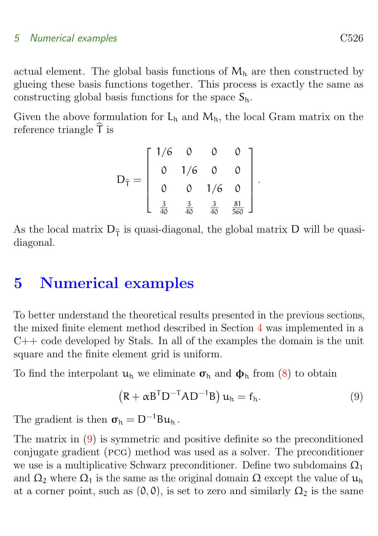#### 5 Numerical examples C526

actual element. The global basis functions of  $M<sub>h</sub>$  are then constructed by glueing these basis functions together. This process is exactly the same as constructing global basis functions for the space  $S_h$ .

Given the above formulation for  $L_h$  and  $M_h$ , the local Gram matrix on the reference triangle  $\hat{\mathsf{T}}$  is

$$
D_{\hat{T}} = \left[ \begin{array}{cccc} 1/6 & 0 & 0 & 0 \\ 0 & 1/6 & 0 & 0 \\ 0 & 0 & 1/6 & 0 \\ \frac{3}{40} & \frac{3}{40} & \frac{3}{40} & \frac{81}{560} \end{array} \right]
$$

As the local matrix  $D_{\hat{\tau}}$  is quasi-diagonal, the global matrix D will be quasidiagonal.

### <span id="page-8-0"></span>5 Numerical examples

To better understand the theoretical results presented in the previous sections, the mixed finite element method described in Section [4](#page-5-0) was implemented in a  $C++$  code developed by Stals. In all of the examples the domain is the unit square and the finite element grid is uniform.

To find the interpolant  $u_h$  we eliminate  $\sigma_h$  and  $\phi_h$  from [\(8\)](#page-6-0) to obtain

<span id="page-8-1"></span>
$$
(R + \alpha B^{T} D^{-T} A D^{-1} B) u_{h} = f_{h}.
$$
 (9)

.

The gradient is then  $\sigma_h = D^{-1}Bu_h$ .

The matrix in [\(9\)](#page-8-1) is symmetric and positive definite so the preconditioned conjugate gradient (pcg) method was used as a solver. The preconditioner we use is a multiplicative Schwarz preconditioner. Define two subdomains  $\Omega_1$ and  $\Omega_2$  where  $\Omega_1$  is the same as the original domain  $\Omega$  except the value of  $\mathfrak{u}_h$ at a corner point, such as  $(0, 0)$ , is set to zero and similarly  $\Omega_2$  is the same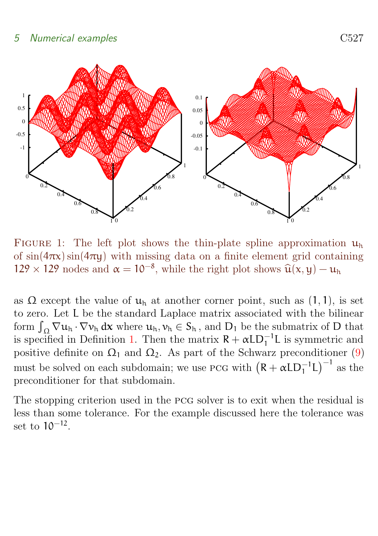

<span id="page-9-1"></span>FIGURE 1: The left plot shows the thin-plate spline approximation  $u_h$ of  $\sin(4\pi x)\sin(4\pi y)$  with missing data on a finite element grid containing  $129 \times 129$  nodes and  $\alpha = 10^{-8}$ , while the right plot shows  $\hat{u}(x, y) - u_h$ 

as  $\Omega$  except the value of  $u_h$  at another corner point, such as  $(1, 1)$ , is set to zero. Let L be the standard Laplace matrix associated with the bilinear form  $\int_{\Omega} \nabla u_h \cdot \nabla v_h \, dx$  where  $u_h, v_h \in S_h$ , and  $D_1$  be the submatrix of D that is specified in Definition [1.](#page-6-1) Then the matrix  $R + \alpha LD_1^{-1}L$  is symmetric and positive definite on  $\Omega_1$  and  $\Omega_2$ . As part of the Schwarz preconditioner [\(9\)](#page-8-1) must be solved on each subdomain; we use PCG with  $(R + \alpha LD_1^{-1}L)^{-1}$  as the preconditioner for that subdomain.

<span id="page-9-0"></span>The stopping criterion used in the pcg solver is to exit when the residual is less than some tolerance. For the example discussed here the tolerance was set to 10<sup>−</sup><sup>12</sup> .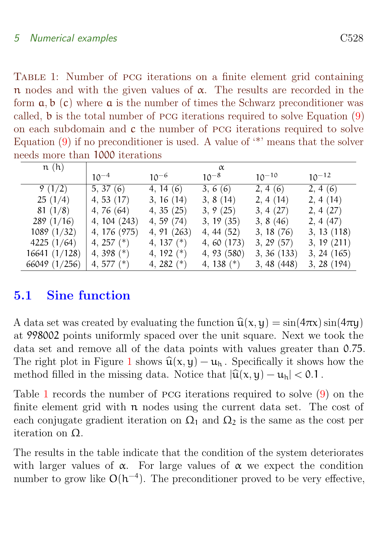<span id="page-10-0"></span>Table 1: Number of pcg iterations on a finite element grid containing n nodes and with the given values of  $\alpha$ . The results are recorded in the form  $a, b$  (c) where  $a$  is the number of times the Schwarz preconditioner was called, b is the total number of pcg iterations required to solve Equation [\(9\)](#page-8-1) on each subdomain and c the number of pcg iterations required to solve Equation  $(9)$  if no preconditioner is used. A value of  $\kappa$  means that the solver needs more than 1000 iterations

| n(h)          | $\alpha$     |              |              |            |               |
|---------------|--------------|--------------|--------------|------------|---------------|
|               | $10^{-4}$    | $10^{-6}$    | $10^{-8}$    | $10^{-10}$ | $10^{-12}$    |
| 9(1/2)        | 5, 37(6)     | 4, 14(6)     | 3, 6(6)      | 2, 4(6)    | 2, 4(6)       |
| 25(1/4)       | 4, 53(17)    | 3, 16(14)    | 3, 8(14)     | 2, 4(14)   | 2, 4(14)      |
| 81(1/8)       | 4, 76 $(64)$ | 4, 35(25)    | 3, 9(25)     | 3, 4(27)   | 2, 4(27)      |
| 289(1/16)     | 4, 104 (243) | 4, 59(74)    | 3, 19(35)    | 3, 8 (46)  | 2, 4(47)      |
| 1089(1/32)    | 4, 176 (975) | 4, 91 (263)  | 4, 44(52)    | 3, 18(76)  | 3, 13(118)    |
| 4225 $(1/64)$ | 4, 257 $(*)$ | 4, 137 $(*)$ | 4, 60 (173)  | 3, 29(57)  | 3, 19(211)    |
| 16641 (1/128) | 4, 398 $(*)$ | 4, 192 $(*)$ | 4, 93 (580)  | 3, 36(133) | 3, 24(165)    |
| 66049 (1/256) | 4, 577 $(*)$ | 4, 282 $(*)$ | 4, 138 $(*)$ | 3,48(448)  | $3, 28$ (194) |

### 5.1 Sine function

A data set was created by evaluating the function  $\hat{\mathbf{u}}(\mathbf{x}, \mathbf{y}) = \sin(4\pi \mathbf{x})\sin(4\pi \mathbf{y})$ at 998002 points uniformly spaced over the unit square. Next we took the data set and remove all of the data points with values greater than 0.75. The right plot in Figure [1](#page-9-1) shows  $\hat{u}(x, y) - u_h$ . Specifically it shows how the method filled in the missing data. Notice that  $|\widehat{u}(x, y) - u_h| < 0.1$ .

Table [1](#page-10-0) records the number of pcg iterations required to solve [\(9\)](#page-8-1) on the finite element grid with  $n$  nodes using the current data set. The cost of each conjugate gradient iteration on  $\Omega_1$  and  $\Omega_2$  is the same as the cost per iteration on Ω.

The results in the table indicate that the condition of the system deteriorates with larger values of  $\alpha$ . For large values of  $\alpha$  we expect the condition number to grow like  $O(h^{-4})$ . The preconditioner proved to be very effective,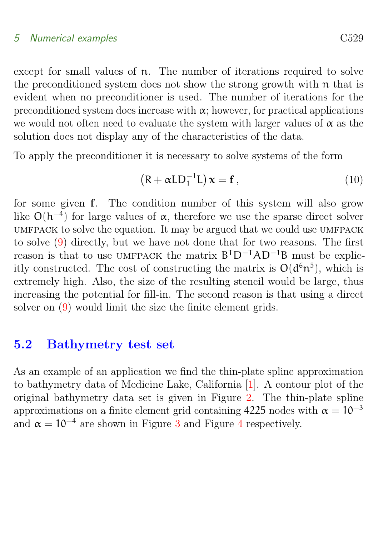#### <span id="page-11-1"></span>5 Numerical examples C529

except for small values of n. The number of iterations required to solve the preconditioned system does not show the strong growth with n that is evident when no preconditioner is used. The number of iterations for the preconditioned system does increase with  $\alpha$ ; however, for practical applications we would not often need to evaluate the system with larger values of  $\alpha$  as the solution does not display any of the characteristics of the data.

To apply the preconditioner it is necessary to solve systems of the form

$$
(R + \alpha LD_1^{-1}L) \mathbf{x} = \mathbf{f}, \qquad (10)
$$

for some given f. The condition number of this system will also grow like  $O(h^{-4})$  for large values of  $\alpha$ , therefore we use the sparse direct solver umfpack to solve the equation. It may be argued that we could use umfpack to solve [\(9\)](#page-8-1) directly, but we have not done that for two reasons. The first reason is that to use UMFPACK the matrix  $B<sup>T</sup>D<sup>-T</sup>AD<sup>-1</sup>B$  must be explicitly constructed. The cost of constructing the matrix is  $O(d^6n^5)$ , which is extremely high. Also, the size of the resulting stencil would be large, thus increasing the potential for fill-in. The second reason is that using a direct solver on [\(9\)](#page-8-1) would limit the size the finite element grids.

#### <span id="page-11-0"></span>5.2 Bathymetry test set

As an example of an application we find the thin-plate spline approximation to bathymetry data of Medicine Lake, California [\[1\]](#page-12-3). A contour plot of the original bathymetry data set is given in Figure [2.](#page-12-4) The thin-plate spline approximations on a finite element grid containing 4225 nodes with  $\alpha = 10^{-3}$ and  $\alpha = 10^{-4}$  $\alpha = 10^{-4}$  $\alpha = 10^{-4}$  are shown in Figure [3](#page-13-3) and Figure 4 respectively.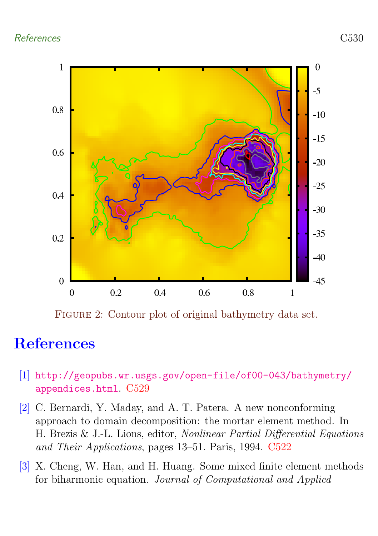

<span id="page-12-4"></span>FIGURE 2: Contour plot of original bathymetry data set.

### <span id="page-12-0"></span>References

- <span id="page-12-3"></span>[1] [http://geopubs.wr.usgs.gov/open-file/of00-043/bathymetry/](http://geopubs.wr.usgs.gov/open-file/of00-043/bathymetry/appendices.html) [appendices.html](http://geopubs.wr.usgs.gov/open-file/of00-043/bathymetry/appendices.html). [C529](#page-11-1)
- <span id="page-12-2"></span>[2] C. Bernardi, Y. Maday, and A. T. Patera. A new nonconforming approach to domain decomposition: the mortar element method. In H. Brezis & J.-L. Lions, editor, Nonlinear Partial Differential Equations and Their Applications, pages 13–51. Paris, 1994. [C522](#page-4-2)
- <span id="page-12-1"></span>[3] X. Cheng, W. Han, and H. Huang. Some mixed finite element methods for biharmonic equation. Journal of Computational and Applied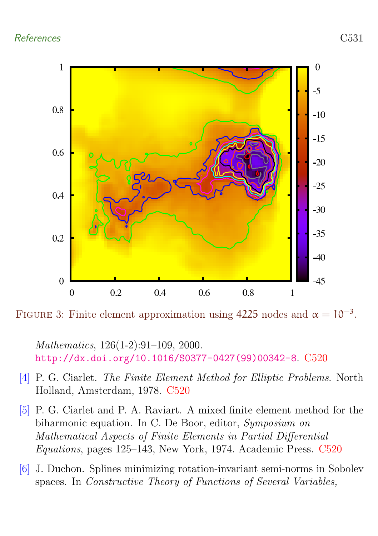

FIGURE 3: Finite element approximation using 4225 nodes and  $\alpha = 10^{-3}$ .

<span id="page-13-3"></span>Mathematics, 126(1-2):91–109, 2000. [http://dx.doi.org/10.1016/S0377-0427\(99\)00342-8](http://dx.doi.org/10.1016/S0377-0427(99)00342-8). [C520](#page-2-0)

- <span id="page-13-1"></span>[4] P. G. Ciarlet. The Finite Element Method for Elliptic Problems. North Holland, Amsterdam, 1978. [C520](#page-2-0)
- <span id="page-13-2"></span>[5] P. G. Ciarlet and P. A. Raviart. A mixed finite element method for the biharmonic equation. In C. De Boor, editor, Symposium on Mathematical Aspects of Finite Elements in Partial Differential Equations, pages 125–143, New York, 1974. Academic Press. [C520](#page-2-0)
- <span id="page-13-0"></span>[6] J. Duchon. Splines minimizing rotation-invariant semi-norms in Sobolev spaces. In Constructive Theory of Functions of Several Variables,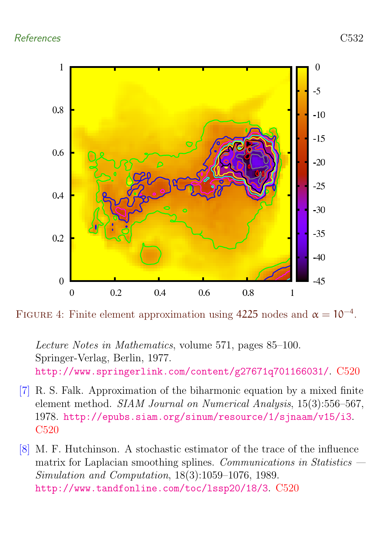

FIGURE 4: Finite element approximation using 4225 nodes and  $\alpha = 10^{-4}$ .

<span id="page-14-2"></span>Lecture Notes in Mathematics, volume 571, pages 85–100. Springer-Verlag, Berlin, 1977. <http://www.springerlink.com/content/g27671q701166031/>. [C520](#page-2-0)

- <span id="page-14-1"></span>[7] R. S. Falk. Approximation of the biharmonic equation by a mixed finite element method. SIAM Journal on Numerical Analysis, 15(3):556–567, 1978. <http://epubs.siam.org/sinum/resource/1/sjnaam/v15/i3>. [C520](#page-2-0)
- <span id="page-14-0"></span>[8] M. F. Hutchinson. A stochastic estimator of the trace of the influence matrix for Laplacian smoothing splines. Communications in Statistics  $-$ Simulation and Computation, 18(3):1059–1076, 1989. <http://www.tandfonline.com/toc/lssp20/18/3>. [C520](#page-2-0)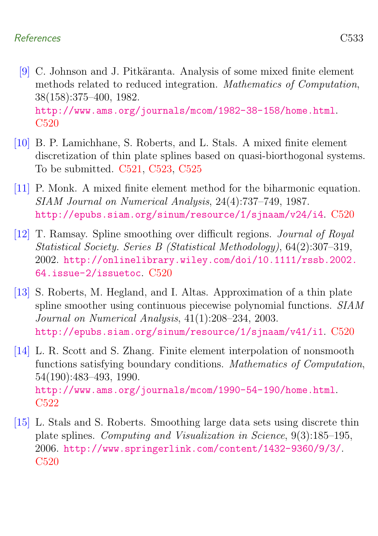- <span id="page-15-0"></span>[9] C. Johnson and J. Pitkäranta. Analysis of some mixed finite element methods related to reduced integration. Mathematics of Computation, 38(158):375–400, 1982. <http://www.ams.org/journals/mcom/1982-38-158/home.html>. [C520](#page-2-0)
- <span id="page-15-5"></span>[10] B. P. Lamichhane, S. Roberts, and L. Stals. A mixed finite element discretization of thin plate splines based on quasi-biorthogonal systems. To be submitted. [C521,](#page-3-2) [C523,](#page-5-2) [C525](#page-7-0)
- <span id="page-15-1"></span>[11] P. Monk. A mixed finite element method for the biharmonic equation. SIAM Journal on Numerical Analysis, 24(4):737–749, 1987. <http://epubs.siam.org/sinum/resource/1/sjnaam/v24/i4>. [C520](#page-2-0)
- <span id="page-15-2"></span>[12] T. Ramsay. Spline smoothing over difficult regions. Journal of Royal Statistical Society. Series B (Statistical Methodology), 64(2):307–319, 2002. [http://onlinelibrary.wiley.com/doi/10.1111/rssb.2002.](http://onlinelibrary.wiley.com/doi/10.1111/rssb.2002.64.issue-2/issuetoc) [64.issue-2/issuetoc](http://onlinelibrary.wiley.com/doi/10.1111/rssb.2002.64.issue-2/issuetoc). [C520](#page-2-0)
- <span id="page-15-3"></span>[13] S. Roberts, M. Hegland, and I. Altas. Approximation of a thin plate spline smoother using continuous piecewise polynomial functions. SIAM Journal on Numerical Analysis, 41(1):208–234, 2003. <http://epubs.siam.org/sinum/resource/1/sjnaam/v41/i1>. [C520](#page-2-0)
- <span id="page-15-6"></span>[14] L. R. Scott and S. Zhang. Finite element interpolation of nonsmooth functions satisfying boundary conditions. Mathematics of Computation, 54(190):483–493, 1990. <http://www.ams.org/journals/mcom/1990-54-190/home.html>. [C522](#page-4-2)
- <span id="page-15-4"></span>[15] L. Stals and S. Roberts. Smoothing large data sets using discrete thin plate splines. Computing and Visualization in Science, 9(3):185–195, 2006. <http://www.springerlink.com/content/1432-9360/9/3/>. [C520](#page-2-0)